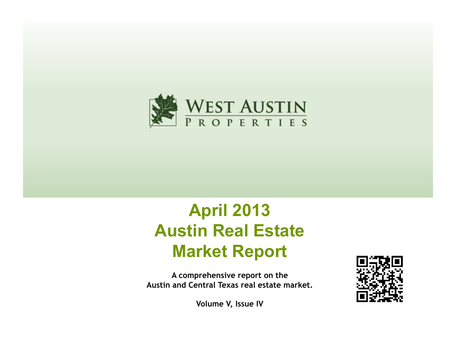

# **April 2013 Austin Real Estate Market Report**

**A comprehensive report on the Austin and Central Texas real estate market.** 

**Volume V, Issue IV**

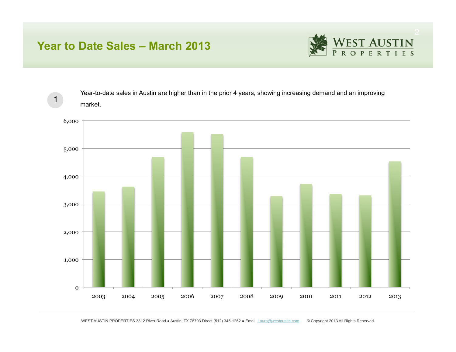## **Year to Date Sales – March 2013**

1



Year-to-date sales in Austin are higher than in the prior 4 years, showing increasing demand and an improving market.

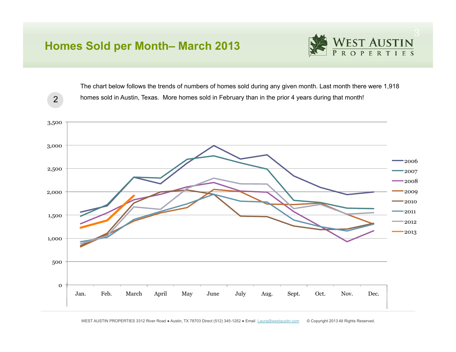# **Homes Sold per Month– March 2013**



The chart below follows the trends of numbers of homes sold during any given month. Last month there were 1,918 homes sold in Austin, Texas. More homes sold in February than in the prior 4 years during that month!



2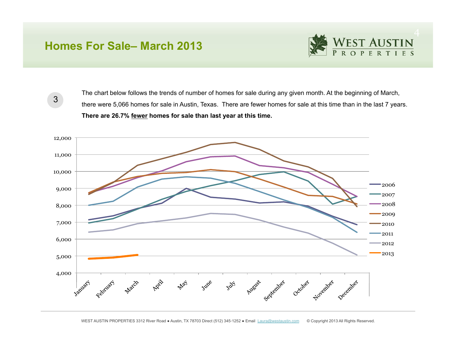#### **Homes For Sale– March 2013**



3

The chart below follows the trends of number of homes for sale during any given month. At the beginning of March, there were 5,066 homes for sale in Austin, Texas. There are fewer homes for sale at this time than in the last 7 years. **There are 26.7% fewer homes for sale than last year at this time.** 

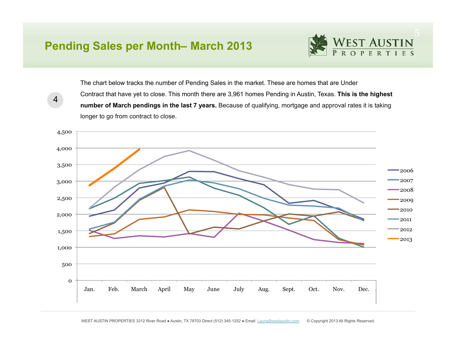### **Pending Sales per Month– March 2013**

4



The chart below tracks the number of Pending Sales in the market. These are homes that are Under Contract that have yet to close. This month there are 3,961 homes Pending in Austin, Texas. **This is the highest number of March pendings in the last 7 years.** Because of qualifying, mortgage and approval rates it is taking longer to go from contract to close.



WEST AUSTIN PROPERTIES 3312 River Road · Austin, TX 78703 Direct (512) 345-1252 · Email Laura@westaustin.com © Copyright 2013 All Rights Reserved.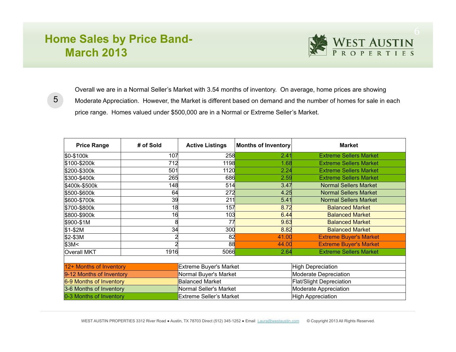# **Home Sales by Price Band-March 2013**



5

Overall we are in a Normal Seller's Market with 3.54 months of inventory. On average, home prices are showing Moderate Appreciation. However, the Market is different based on demand and the number of homes for sale in each price range. Homes valued under \$500,000 are in a Normal or Extreme Seller's Market.

| <b>Price Range</b><br># of Sold |      | <b>Active Listings</b><br><b>Months of Inventory</b> |       | <b>Market</b>                   |  |  |  |  |  |  |
|---------------------------------|------|------------------------------------------------------|-------|---------------------------------|--|--|--|--|--|--|
| \$0-\$100k                      | 107  | 258                                                  | 2.41  | <b>Extreme Sellers Market</b>   |  |  |  |  |  |  |
| \$100-\$200k                    | 712  | <b>1198</b>                                          | 1.68  | <b>Extreme Sellers Market</b>   |  |  |  |  |  |  |
| \$200-\$300k                    | 501  | 1120                                                 | 2.24  | <b>Extreme Sellers Market</b>   |  |  |  |  |  |  |
| \$300-\$400k                    | 265  | 686                                                  | 2.59  | <b>Extreme Sellers Market</b>   |  |  |  |  |  |  |
| \$400k-\$500k                   | 148  | 514                                                  | 3.47  | <b>Normal Sellers Market</b>    |  |  |  |  |  |  |
| \$500-\$600k                    | 64   | 272                                                  | 4.25  | <b>Normal Sellers Market</b>    |  |  |  |  |  |  |
| \$600-\$700k                    | 39   | 211                                                  | 5.41  | <b>Normal Sellers Market</b>    |  |  |  |  |  |  |
| \$700-\$800k                    | 18   | 157                                                  | 8.72  | <b>Balanced Market</b>          |  |  |  |  |  |  |
| \$800-\$900k                    | 16   | 103                                                  | 6.44  | <b>Balanced Market</b>          |  |  |  |  |  |  |
| \$900-\$1M                      | 8    | 77                                                   | 9.63  | <b>Balanced Market</b>          |  |  |  |  |  |  |
| $$1-$2M$                        | 34   | 300                                                  | 8.82  | <b>Balanced Market</b>          |  |  |  |  |  |  |
| $$2-$3M$                        |      | 82                                                   | 41.00 | <b>Extreme Buyer's Market</b>   |  |  |  |  |  |  |
| \$3M <sub>2</sub>               |      | 88                                                   | 44.00 | <b>Extreme Buyer's Market</b>   |  |  |  |  |  |  |
| <b>Overall MKT</b>              | 1916 | 5066                                                 | 2.64  | <b>Extreme Sellers Market</b>   |  |  |  |  |  |  |
|                                 |      |                                                      |       |                                 |  |  |  |  |  |  |
| 12+ Months of Inventory         |      | <b>Extreme Buyer's Market</b>                        |       | High Depreciation               |  |  |  |  |  |  |
| 9-12 Months of Inventory        |      | Normal Buyer's Market                                |       | Moderate Depreciation           |  |  |  |  |  |  |
| 6-9 Months of Inventory         |      | <b>Balanced Market</b>                               |       | <b>Flat/Slight Depreciation</b> |  |  |  |  |  |  |
| 3-6 Months of Inventory         |      | Normal Seller's Market                               |       | Moderate Appreciation           |  |  |  |  |  |  |
| 0-3 Months of Inventory         |      | <b>Extreme Seller's Market</b>                       |       | High Appreciation               |  |  |  |  |  |  |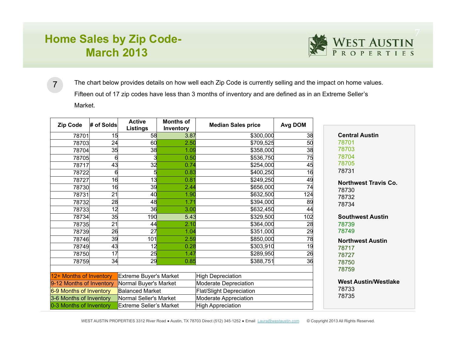# **Home Sales by Zip Code-March 2013**



The chart below provides details on how well each Zip Code is currently selling and the impact on home values. Fifteen out of 17 zip codes have less than 3 months of inventory and are defined as in an Extreme Seller's Market. 7

| <b>Zip Code</b>                                                                       | # of Solds | <b>Active</b><br><b>Listings</b> | <b>Months of</b><br>Inventory   | <b>Median Sales price</b>   | Avg DOM |                             |
|---------------------------------------------------------------------------------------|------------|----------------------------------|---------------------------------|-----------------------------|---------|-----------------------------|
| 78701                                                                                 | 15         | 58                               | 3.87                            | \$300,000                   | 38      | <b>Central Austin</b>       |
| 78703                                                                                 | 24         | 60                               | 2.50                            | \$709,525                   | 50      | 78701                       |
| 78704                                                                                 | 35         | 38                               | 1.09                            | \$358,000                   | 38      | 78703                       |
| 78705                                                                                 |            |                                  | 0.50                            | \$536,750                   | 75      | 78704                       |
| 78717                                                                                 | 43         | 32                               | 0.74                            | \$254,000                   | 45      | 78705                       |
| 78722                                                                                 | 6          |                                  | 0.83                            | \$400,250                   | 16      | 78731                       |
| 78727                                                                                 | 16         | 13                               | 0.81                            | \$249,250                   | 49      | <b>Northwest Travis Co.</b> |
| 78730                                                                                 | 16         | 39                               | 2.44                            | \$656,000                   | 74      | 78730                       |
| 78731                                                                                 | 21         | 40                               | 1.90                            | \$632,500                   | 124     | 78732                       |
| 78732                                                                                 | 28         | 48                               | 1.71                            | \$394,000                   | 89      | 78734                       |
| 78733                                                                                 | 12         | 36                               | 3.00                            | \$632,450                   | 44      |                             |
| 78734                                                                                 | 35         | 190                              | 5.43                            | \$329,500                   | 102     | <b>Southwest Austin</b>     |
| 78735                                                                                 | 21         | 44                               | 2.10                            | \$364,000                   | 28      | 78739                       |
| 78739                                                                                 | 26         | 27                               | 1.04                            | \$351,000                   | 29      | 78749                       |
| 78746                                                                                 | 39         | 101                              | 2.59                            | \$850,000                   | 78      | <b>Northwest Austin</b>     |
| 78749                                                                                 | 43         | 12                               | 0.28                            | \$303,910                   | 19      | 78717                       |
| 78750                                                                                 | 17         | 25                               | 1.47                            | \$289,950                   | 26      | 78727                       |
| 78759                                                                                 | 34         | 29                               | 0.85                            | \$388,751                   | 36      | 78750                       |
|                                                                                       |            |                                  |                                 |                             |         | 78759                       |
| 12+ Months of Inventory                                                               |            | Extreme Buyer's Market           |                                 | <b>High Depreciation</b>    |         |                             |
| Normal Buyer's Market<br>9-12 Months of Inventory                                     |            | Moderate Depreciation            |                                 | <b>West Austin/Westlake</b> |         |                             |
| <b>Balanced Market</b><br>6-9 Months of Inventory                                     |            |                                  | <b>Flat/Slight Depreciation</b> |                             | 78733   |                             |
| 3-6 Months of Inventory<br>Normal Seller's Market                                     |            | Moderate Appreciation            |                                 | 78735                       |         |                             |
| <b>High Appreciation</b><br>0-3 Months of Inventory<br><b>Extreme Seller's Market</b> |            |                                  |                                 |                             |         |                             |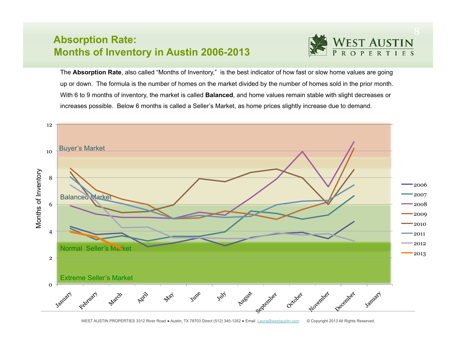#### **Absorption Rate: Months of Inventory in Austin 2006-2013**

The **Absorption Rate**, also called "Months of Inventory," is the best indicator of how fast or slow home values are going up or down. The formula is the number of homes on the market divided by the number of homes sold in the prior month. With 6 to 9 months of inventory, the market is called **Balanced**, and home values remain stable with slight decreases or increases possible. Below 6 months is called a Seller's Market, as home prices slightly increase due to demand.

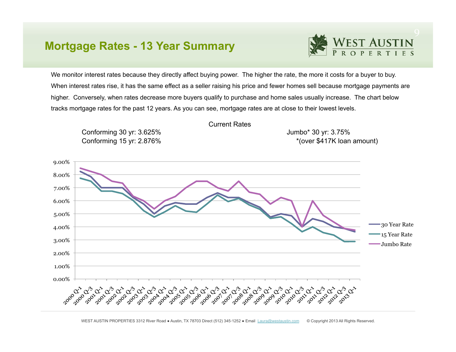#### **Mortgage Rates - 13 Year Summary**



We monitor interest rates because they directly affect buying power. The higher the rate, the more it costs for a buyer to buy. When interest rates rise, it has the same effect as a seller raising his price and fewer homes sell because mortgage payments are higher. Conversely, when rates decrease more buyers qualify to purchase and home sales usually increase. The chart below tracks mortgage rates for the past 12 years. As you can see, mortgage rates are at close to their lowest levels.



WEST AUSTIN PROPERTIES 3312 River Road · Austin, TX 78703 Direct (512) 345-1252 · Email Laura@westaustin.com © Copyright 2013 All Rights Reserved.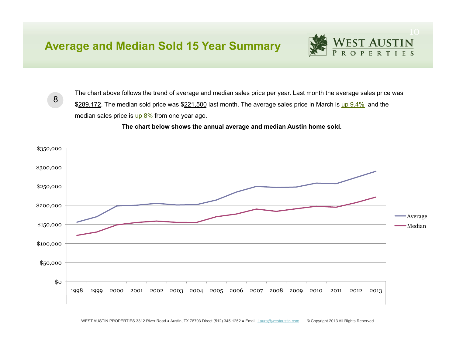## **Average and Median Sold 15 Year Summary**

8

The chart above follows the trend of average and median sales price per year. Last month the average sales price was \$289,172. The median sold price was \$221,500 last month. The average sales price in March is up 9.4% and the median sales price is up 8% from one year ago.

 **The chart below shows the annual average and median Austin home sold.** 

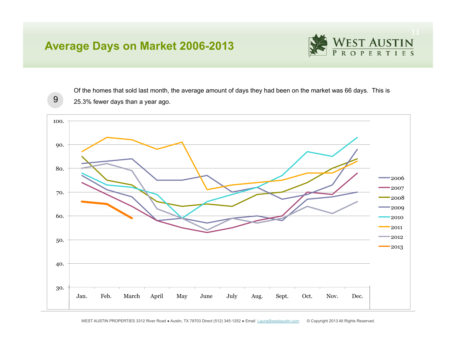## **Average Days on Market 2006-2013**



9

Of the homes that sold last month, the average amount of days they had been on the market was 66 days. This is 25.3% fewer days than a year ago.